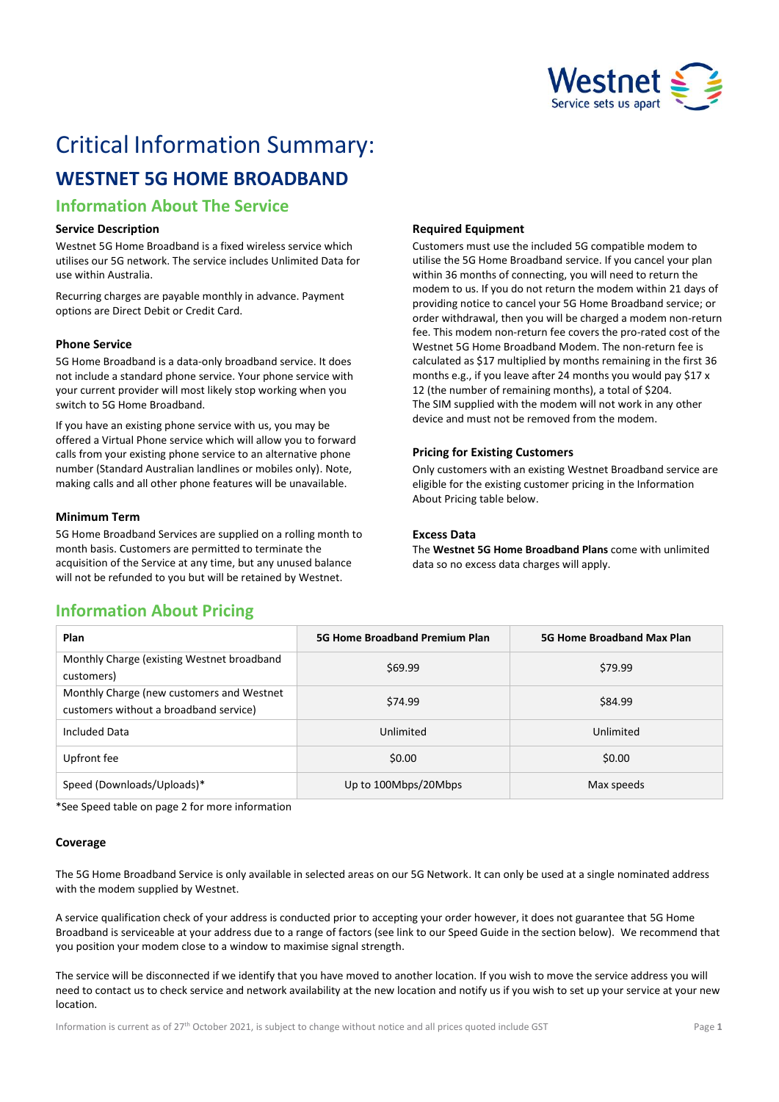

# Critical Information Summary:

# **WESTNET 5G HOME BROADBAND**

### **Information About The Service**

#### **Service Description**

Westnet 5G Home Broadband is a fixed wireless service which utilises our 5G network. The service includes Unlimited Data for use within Australia.

Recurring charges are payable monthly in advance. Payment options are Direct Debit or Credit Card.

#### **Phone Service**

5G Home Broadband is a data-only broadband service. It does not include a standard phone service. Your phone service with your current provider will most likely stop working when you switch to 5G Home Broadband.

If you have an existing phone service with us, you may be offered a Virtual Phone service which will allow you to forward calls from your existing phone service to an alternative phone number (Standard Australian landlines or mobiles only). Note, making calls and all other phone features will be unavailable.

#### **Minimum Term**

5G Home Broadband Services are supplied on a rolling month to month basis. Customers are permitted to terminate the acquisition of the Service at any time, but any unused balance will not be refunded to you but will be retained by Westnet.

#### **Required Equipment**

Customers must use the included 5G compatible modem to utilise the 5G Home Broadband service. If you cancel your plan within 36 months of connecting, you will need to return the modem to us. If you do not return the modem within 21 days of providing notice to cancel your 5G Home Broadband service; or order withdrawal, then you will be charged a modem non-return fee. This modem non-return fee covers the pro-rated cost of the Westnet 5G Home Broadband Modem. The non-return fee is calculated as \$17 multiplied by months remaining in the first 36 months e.g., if you leave after 24 months you would pay \$17 x 12 (the number of remaining months), a total of \$204. The SIM supplied with the modem will not work in any other device and must not be removed from the modem.

#### **Pricing for Existing Customers**

Only customers with an existing Westnet Broadband service are eligible for the existing customer pricing in the Information About Pricing table below.

#### **Excess Data**

The **Westnet 5G Home Broadband Plans** come with unlimited data so no excess data charges will apply.

## **Information About Pricing**

| Plan                                                                                | <b>5G Home Broadband Premium Plan</b> | 5G Home Broadband Max Plan |  |
|-------------------------------------------------------------------------------------|---------------------------------------|----------------------------|--|
| Monthly Charge (existing Westnet broadband<br>customers)                            | \$69.99                               | \$79.99                    |  |
| Monthly Charge (new customers and Westnet<br>customers without a broadband service) | \$74.99                               | \$84.99                    |  |
| Included Data                                                                       | Unlimited                             | Unlimited                  |  |
| Upfront fee                                                                         | \$0.00                                | \$0.00                     |  |
| Speed (Downloads/Uploads)*                                                          | Up to 100Mbps/20Mbps                  | Max speeds                 |  |

\*See Speed table on page 2 for more information

#### **Coverage**

The 5G Home Broadband Service is only available in selected areas on our 5G Network. It can only be used at a single nominated address with the modem supplied by Westnet.

A service qualification check of your address is conducted prior to accepting your order however, it does not guarantee that 5G Home Broadband is serviceable at your address due to a range of factors (see link to our Speed Guide in the section below). We recommend that you position your modem close to a window to maximise signal strength.

The service will be disconnected if we identify that you have moved to another location. If you wish to move the service address you will need to contact us to check service and network availability at the new location and notify us if you wish to set up your service at your new location.